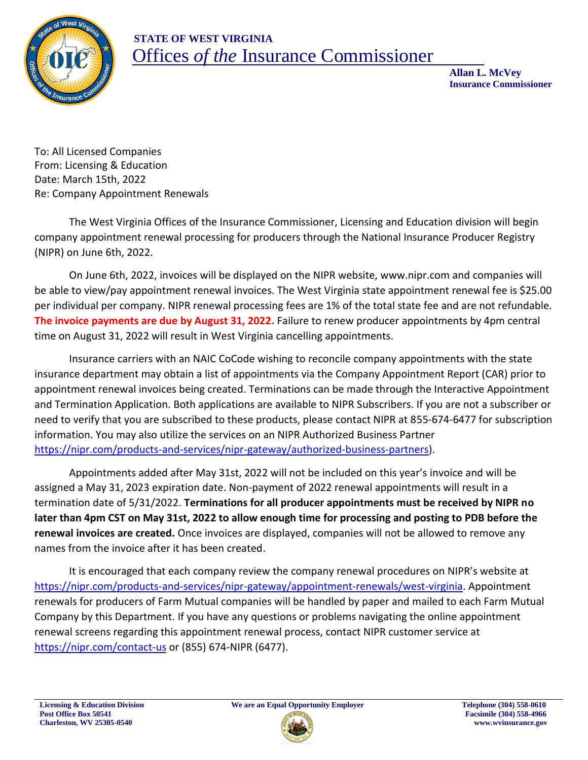

## **STATE OF WEST VIRGINIA** Offices *of the* Insurance Commissioner

 **Allan L. McVey Insurance Commissioner**

To: All Licensed Companies From: Licensing & Education Date: March 15th, 2022 Re: Company Appointment Renewals

The West Virginia Offices of the Insurance Commissioner, Licensing and Education division will begin company appointment renewal processing for producers through the National Insurance Producer Registry (NIPR) on June 6th, 2022.

On June 6th, 2022, invoices will be displayed on the NIPR website, www.nipr.com and companies will be able to view/pay appointment renewal invoices. The West Virginia state appointment renewal fee is \$25.00 per individual per company. NIPR renewal processing fees are 1% of the total state fee and are not refundable. **The invoice payments are due by August 31, 2022.** Failure to renew producer appointments by 4pm central time on August 31, 2022 will result in West Virginia cancelling appointments.

Insurance carriers with an NAIC CoCode wishing to reconcile company appointments with the state insurance department may obtain a list of appointments via the Company Appointment Report (CAR) prior to appointment renewal invoices being created. Terminations can be made through the Interactive Appointment and Termination Application. Both applications are available to NIPR Subscribers. If you are not a subscriber or need to verify that you are subscribed to these products, please contact NIPR at 855-674-6477 for subscription information. You may also utilize the services on an NIPR Authorized Business Partner https://nipr.com/products-and-services/nipr-gateway/authorized-business-partners).

Appointments added after May 31st, 2022 will not be included on this year's invoice and will be assigned a May 31, 2023 expiration date. Non-payment of 2022 renewal appointments will result in a termination date of 5/31/2022. **Terminations for all producer appointments must be received by NIPR no later than 4pm CST on May 31st, 2022 to allow enough time for processing and posting to PDB before the renewal invoices are created.** Once invoices are displayed, companies will not be allowed to remove any names from the invoice after it has been created.

It is encouraged that each company review the company renewal procedures on NIPR's website at https://nipr.com/products-and-services/nipr-gateway/appointment-renewals/west-virginia. Appointment renewals for producers of Farm Mutual companies will be handled by paper and mailed to each Farm Mutual Company by this Department. If you have any questions or problems navigating the online appointment renewal screens regarding this appointment renewal process, contact NIPR customer service at https://nipr.com/contact-us or (855) 674-NIPR (6477).